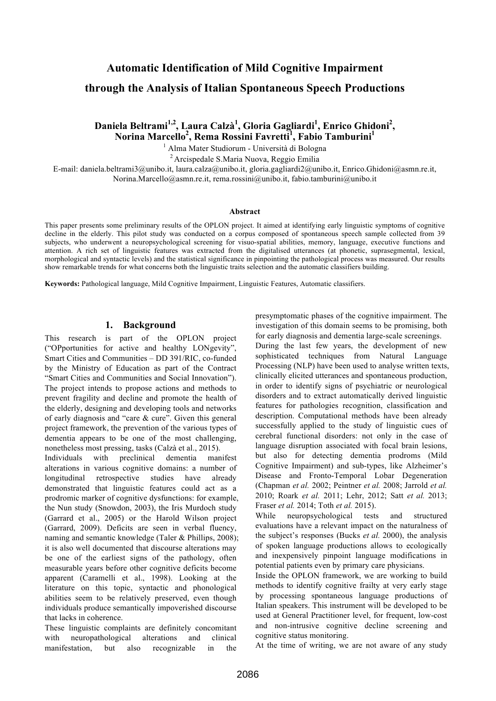# **Automatic Identification of Mild Cognitive Impairment**

# **through the Analysis of Italian Spontaneous Speech Productions**

# Daniela Beltrami<sup>1,2</sup>, Laura Calzà<sup>1</sup>, Gloria Gagliardi<sup>1</sup>, Enrico Ghidoni<sup>2</sup>,  $\mathbf{Normal} \mathbf{M}$ arcello $^2$ , Rema Rossini Favretti $^1$ , Fabio Tamburini $^1$

<sup>1</sup> Alma Mater Studiorum - Università di Bologna

2 Arcispedale S.Maria Nuova, Reggio Emilia

E-mail: daniela.beltrami3@unibo.it, laura.calza@unibo.it, gloria.gagliardi2@unibo.it, Enrico.Ghidoni@asmn.re.it, Norina.Marcello@asmn.re.it, rema.rossini@unibo.it, fabio.tamburini@unibo.it

#### **Abstract**

This paper presents some preliminary results of the OPLON project. It aimed at identifying early linguistic symptoms of cognitive decline in the elderly. This pilot study was conducted on a corpus composed of spontaneous speech sample collected from 39 subjects, who underwent a neuropsychological screening for visuo-spatial abilities, memory, language, executive functions and attention. A rich set of linguistic features was extracted from the digitalised utterances (at phonetic, suprasegmental, lexical, morphological and syntactic levels) and the statistical significance in pinpointing the pathological process was measured. Our results show remarkable trends for what concerns both the linguistic traits selection and the automatic classifiers building.

**Keywords:** Pathological language, Mild Cognitive Impairment, Linguistic Features, Automatic classifiers.

#### **1. Background**

This research is part of the OPLON project ("OPportunities for active and healthy LONgevity", Smart Cities and Communities – DD 391/RIC, co-funded by the Ministry of Education as part of the Contract "Smart Cities and Communities and Social Innovation"). The project intends to propose actions and methods to prevent fragility and decline and promote the health of the elderly, designing and developing tools and networks of early diagnosis and "care & cure". Given this general project framework, the prevention of the various types of dementia appears to be one of the most challenging, nonetheless most pressing, tasks (Calzà et al., 2015).

Individuals with preclinical dementia manifest alterations in various cognitive domains: a number of longitudinal retrospective studies have already demonstrated that linguistic features could act as a prodromic marker of cognitive dysfunctions: for example, the Nun study (Snowdon, 2003), the Iris Murdoch study (Garrard et al., 2005) or the Harold Wilson project (Garrard, 2009). Deficits are seen in verbal fluency, naming and semantic knowledge (Taler & Phillips, 2008); it is also well documented that discourse alterations may be one of the earliest signs of the pathology, often measurable years before other cognitive deficits become apparent (Caramelli et al., 1998). Looking at the literature on this topic, syntactic and phonological abilities seem to be relatively preserved, even though individuals produce semantically impoverished discourse that lacks in coherence.

These linguistic complaints are definitely concomitant with neuropathological alterations and clinical manifestation, but also recognizable in the

presymptomatic phases of the cognitive impairment. The investigation of this domain seems to be promising, both for early diagnosis and dementia large-scale screenings.

During the last few years, the development of new sophisticated techniques from Natural Language Processing (NLP) have been used to analyse written texts, clinically elicited utterances and spontaneous production, in order to identify signs of psychiatric or neurological disorders and to extract automatically derived linguistic features for pathologies recognition, classification and description. Computational methods have been already successfully applied to the study of linguistic cues of cerebral functional disorders: not only in the case of language disruption associated with focal brain lesions, but also for detecting dementia prodroms (Mild Cognitive Impairment) and sub-types, like Alzheimer's Disease and Fronto-Temporal Lobar Degeneration (Chapman *et al.* 2002; Peintner *et al.* 2008; Jarrold *et al.* 2010; Roark *et al.* 2011; Lehr, 2012; Satt *et al.* 2013; Fraser *et al.* 2014; Toth *et al.* 2015).

While neuropsychological tests and structured evaluations have a relevant impact on the naturalness of the subject's responses (Bucks *et al.* 2000), the analysis of spoken language productions allows to ecologically and inexpensively pinpoint language modifications in potential patients even by primary care physicians.

Inside the OPLON framework, we are working to build methods to identify cognitive frailty at very early stage by processing spontaneous language productions of Italian speakers. This instrument will be developed to be used at General Practitioner level, for frequent, low-cost and non-intrusive cognitive decline screening and cognitive status monitoring.

At the time of writing, we are not aware of any study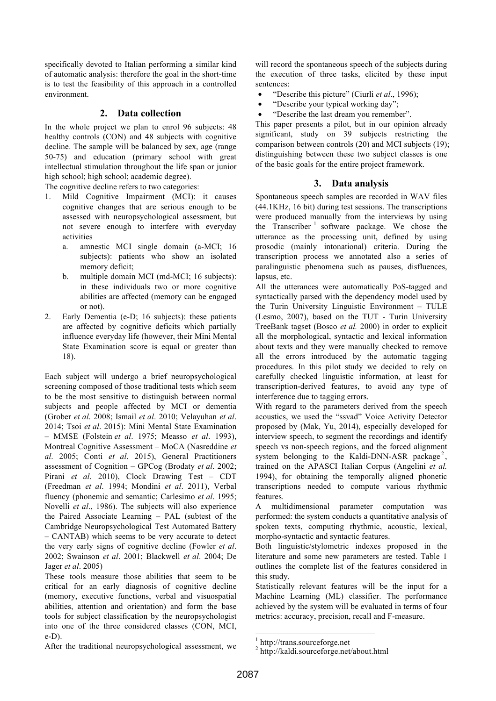specifically devoted to Italian performing a similar kind of automatic analysis: therefore the goal in the short-time is to test the feasibility of this approach in a controlled environment.

### **2. Data collection**

In the whole project we plan to enrol 96 subjects: 48 healthy controls (CON) and 48 subjects with cognitive decline. The sample will be balanced by sex, age (range 50-75) and education (primary school with great intellectual stimulation throughout the life span or junior high school; high school; academic degree).

The cognitive decline refers to two categories:

- 1. Mild Cognitive Impairment (MCI): it causes cognitive changes that are serious enough to be assessed with neuropsychological assessment, but not severe enough to interfere with everyday activities
	- a. amnestic MCI single domain (a-MCI; 16 subjects): patients who show an isolated memory deficit;
	- b. multiple domain MCI (md-MCI; 16 subjects): in these individuals two or more cognitive abilities are affected (memory can be engaged or not).
- 2. Early Dementia (e-D; 16 subjects): these patients are affected by cognitive deficits which partially influence everyday life (however, their Mini Mental State Examination score is equal or greater than 18).

Each subject will undergo a brief neuropsychological screening composed of those traditional tests which seem to be the most sensitive to distinguish between normal subjects and people affected by MCI or dementia (Grober *et al*. 2008; Ismail *et al*. 2010; Velayuhan *et al*. 2014; Tsoi *et al*. 2015): Mini Mental State Examination – MMSE (Folstein *et al*. 1975; Measso *et al*. 1993), Montreal Cognitive Assessment – MoCA (Nasreddine *et al*. 2005; Conti *et al*. 2015), General Practitioners assessment of Cognition – GPCog (Brodaty *et al*. 2002; Pirani *et al*. 2010), Clock Drawing Test – CDT (Freedman *et al*. 1994; Mondini *et al*. 2011), Verbal fluency (phonemic and semantic; Carlesimo *et al*. 1995; Novelli *et al*., 1986). The subjects will also experience the Paired Associate Learning – PAL (subtest of the Cambridge Neuropsychological Test Automated Battery – CANTAB) which seems to be very accurate to detect the very early signs of cognitive decline (Fowler *et al*. 2002; Swainson *et al*. 2001; Blackwell *et al*. 2004; De Jager *et al*. 2005)

These tools measure those abilities that seem to be critical for an early diagnosis of cognitive decline (memory, executive functions, verbal and visuospatial abilities, attention and orientation) and form the base tools for subject classification by the neuropsychologist into one of the three considered classes (CON, MCI, e-D).

will record the spontaneous speech of the subjects during the execution of three tasks, elicited by these input sentences:

- "Describe this picture" (Ciurli *et al*., 1996);
- "Describe your typical working day";
- "Describe the last dream you remember".

This paper presents a pilot, but in our opinion already significant, study on 39 subjects restricting the comparison between controls (20) and MCI subjects (19); distinguishing between these two subject classes is one of the basic goals for the entire project framework.

# **3. Data analysis**

Spontaneous speech samples are recorded in WAV files (44.1KHz, 16 bit) during test sessions. The transcriptions were produced manually from the interviews by using the Transcriber<sup> $1$ </sup> software package. We chose the utterance as the processing unit, defined by using prosodic (mainly intonational) criteria. During the transcription process we annotated also a series of paralinguistic phenomena such as pauses, disfluences, lapsus, etc.

All the utterances were automatically PoS-tagged and syntactically parsed with the dependency model used by the Turin University Linguistic Environment – TULE (Lesmo, 2007), based on the TUT - Turin University TreeBank tagset (Bosco *et al.* 2000) in order to explicit all the morphological, syntactic and lexical information about texts and they were manually checked to remove all the errors introduced by the automatic tagging procedures. In this pilot study we decided to rely on carefully checked linguistic information, at least for transcription-derived features, to avoid any type of interference due to tagging errors.

With regard to the parameters derived from the speech acoustics, we used the "ssvad" Voice Activity Detector proposed by (Mak, Yu, 2014), especially developed for interview speech, to segment the recordings and identify speech vs non-speech regions, and the forced alignment system belonging to the Kaldi-DNN-ASR package<sup>2</sup>, trained on the APASCI Italian Corpus (Angelini *et al.* 1994), for obtaining the temporally aligned phonetic transcriptions needed to compute various rhythmic features.

A multidimensional parameter computation was performed: the system conducts a quantitative analysis of spoken texts, computing rhythmic, acoustic, lexical, morpho-syntactic and syntactic features.

Both linguistic/stylometric indexes proposed in the literature and some new parameters are tested. Table 1 outlines the complete list of the features considered in this study.

Statistically relevant features will be the input for a Machine Learning (ML) classifier. The performance achieved by the system will be evaluated in terms of four metrics: accuracy, precision, recall and F-measure.

 <sup>1</sup> http://trans.sourceforge.net

<sup>2</sup> http://kaldi.sourceforge.net/about.html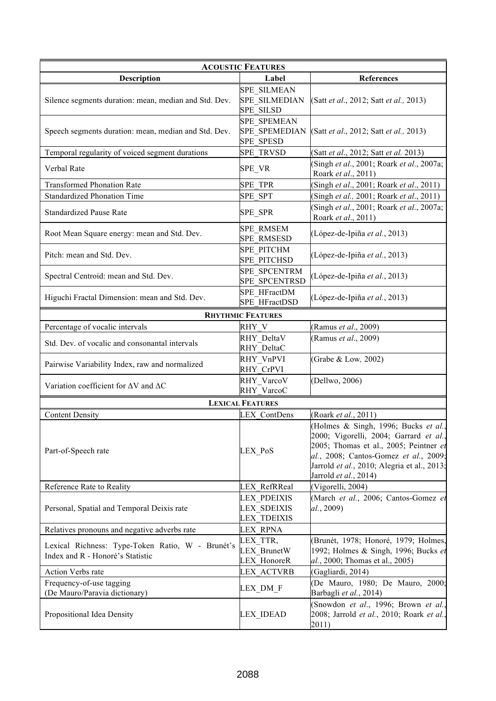| <b>ACOUSTIC FEATURES</b>                                                             |                                                                |                                                                                                                                                                                                                                           |  |
|--------------------------------------------------------------------------------------|----------------------------------------------------------------|-------------------------------------------------------------------------------------------------------------------------------------------------------------------------------------------------------------------------------------------|--|
| <b>Description</b>                                                                   | Label                                                          | <b>References</b>                                                                                                                                                                                                                         |  |
| Silence segments duration: mean, median and Std. Dev.                                | <b>SPE SILMEAN</b><br><b>SPE SILMEDIAN</b><br><b>SPE SILSD</b> | (Satt et al., 2012; Satt et al., 2013)                                                                                                                                                                                                    |  |
| Speech segments duration: mean, median and Std. Dev.                                 | <b>SPE SPEMEAN</b><br><b>SPE SPEMEDIAN</b><br><b>SPE SPESD</b> | (Satt et al., 2012; Satt et al., 2013)                                                                                                                                                                                                    |  |
| Temporal regularity of voiced segment durations                                      | <b>SPE TRVSD</b>                                               | (Satt et al., 2012; Satt et al. 2013)                                                                                                                                                                                                     |  |
| Verbal Rate                                                                          | SPE_VR                                                         | Singh et al., 2001; Roark et al., 2007a;<br>Roark et al., 2011)                                                                                                                                                                           |  |
| <b>Transformed Phonation Rate</b>                                                    | SPE TPR                                                        | (Singh et al., 2001; Roark et al., 2011)                                                                                                                                                                                                  |  |
| <b>Standardized Phonation Time</b>                                                   | <b>SPE SPT</b>                                                 | Singh et al., 2001; Roark et al., 2011)                                                                                                                                                                                                   |  |
| <b>Standardized Pause Rate</b>                                                       | SPE_SPR                                                        | (Singh et al., 2001; Roark et al., 2007a;<br>Roark et al., 2011)                                                                                                                                                                          |  |
| Root Mean Square energy: mean and Std. Dev.                                          | <b>SPE RMSEM</b><br><b>SPE RMSESD</b>                          | (López-de-Ipiña et al., 2013)                                                                                                                                                                                                             |  |
| Pitch: mean and Std. Dev.                                                            | SPE PITCHM<br><b>SPE PITCHSD</b>                               | (López-de-Ipiña et al., 2013)                                                                                                                                                                                                             |  |
| Spectral Centroid: mean and Std. Dev.                                                | SPE SPCENTRM<br>SPE SPCENTRSD                                  | (López-de-Ipiña et al., 2013)                                                                                                                                                                                                             |  |
| Higuchi Fractal Dimension: mean and Std. Dev.                                        | SPE HFractDM<br>SPE HFractDSD                                  | (López-de-Ipiña et al., 2013)                                                                                                                                                                                                             |  |
|                                                                                      | <b>RHYTHMIC FEATURES</b>                                       |                                                                                                                                                                                                                                           |  |
| Percentage of vocalic intervals                                                      | RHY V                                                          | (Ramus et al., 2009)                                                                                                                                                                                                                      |  |
| Std. Dev. of vocalic and consonantal intervals                                       | RHY DeltaV<br>RHY DeltaC                                       | (Ramus et al., 2009)                                                                                                                                                                                                                      |  |
| Pairwise Variability Index, raw and normalized                                       | RHY VnPVI<br>RHY CrPVI                                         | (Grabe & Low, 2002)                                                                                                                                                                                                                       |  |
| Variation coefficient for $\Delta V$ and $\Delta C$                                  | RHY_VarcoV<br>RHY VarcoC                                       | (Dellwo, 2006)                                                                                                                                                                                                                            |  |
|                                                                                      | <b>LEXICAL FEATURES</b>                                        |                                                                                                                                                                                                                                           |  |
| <b>Content Density</b>                                                               | <b>LEX ContDens</b>                                            | (Roark et al., 2011)                                                                                                                                                                                                                      |  |
| Part-of-Speech rate                                                                  | LEX PoS                                                        | (Holmes & Singh, 1996; Bucks et al.,<br>2000; Vigorelli, 2004; Garrard et al.,<br>2005; Thomas et al., 2005; Peintner et<br>al., 2008; Cantos-Gomez et al., 2009;<br>Jarrold et al., 2010; Alegria et al., 2013;<br>Jarrold et al., 2014) |  |
| Reference Rate to Reality                                                            | LEX RefRReal                                                   | (Vigorelli, 2004)                                                                                                                                                                                                                         |  |
| Personal, Spatial and Temporal Deixis rate                                           | LEX PDEIXIS<br><b>LEX SDEIXIS</b><br><b>LEX TDEIXIS</b>        | (March et al., 2006; Cantos-Gomez et<br>al., 2009)                                                                                                                                                                                        |  |
| Relatives pronouns and negative adverbs rate                                         | <b>LEX RPNA</b>                                                |                                                                                                                                                                                                                                           |  |
| Lexical Richness: Type-Token Ratio, W - Brunét's<br>Index and R - Honoré's Statistic | LEX TTR,<br><b>LEX BrunetW</b><br><b>LEX HonoreR</b>           | (Brunét, 1978; Honoré, 1979; Holmes,<br>1992; Holmes & Singh, 1996; Bucks et<br>al., 2000; Thomas et al., 2005)                                                                                                                           |  |
| Action Verbs rate                                                                    | <b>LEX ACTVRB</b>                                              | (Gagliardi, 2014)                                                                                                                                                                                                                         |  |
| Frequency-of-use tagging<br>(De Mauro/Paravia dictionary)                            | LEX DM F                                                       | (De Mauro, 1980; De Mauro, 2000;<br>Barbagli et al., 2014)                                                                                                                                                                                |  |
| Propositional Idea Density                                                           | <b>LEX IDEAD</b>                                               | (Snowdon et al., 1996; Brown et al.,<br>2008; Jarrold et al., 2010; Roark et al.,<br>2011)                                                                                                                                                |  |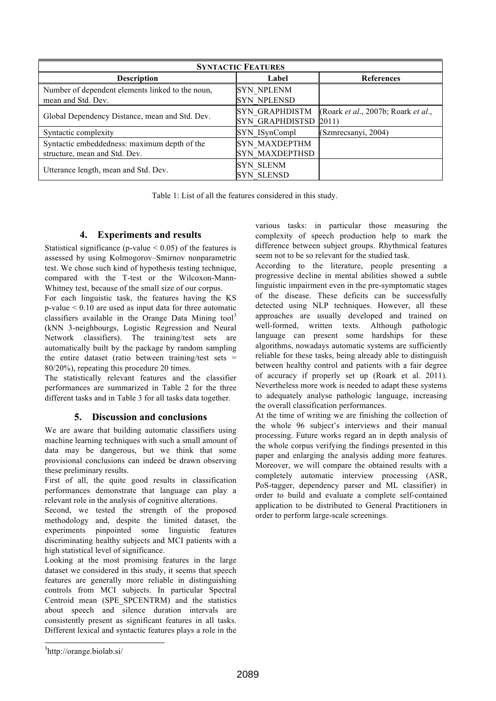| <b>SYNTACTIC FEATURES</b>                                                     |                                                 |                                              |  |
|-------------------------------------------------------------------------------|-------------------------------------------------|----------------------------------------------|--|
| <b>Description</b>                                                            | Label                                           | <b>References</b>                            |  |
| Number of dependent elements linked to the noun,<br>mean and Std. Dev.        | <b>SYN NPLENM</b><br><b>SYN NPLENSD</b>         |                                              |  |
| Global Dependency Distance, mean and Std. Dev.                                | <b>SYN GRAPHDISTM</b><br><b>SYN GRAPHDISTSD</b> | (Roark et al., 2007b; Roark et al.,<br>2011) |  |
| Syntactic complexity                                                          | SYN ISynCompl                                   | (Szmrecsanyi, 2004)                          |  |
| Syntactic embeddedness: maximum depth of the<br>structure, mean and Std. Dev. | <b>SYN MAXDEPTHM</b><br><b>SYN MAXDEPTHSD</b>   |                                              |  |
| Utterance length, mean and Std. Dev.                                          | <b>SYN SLENM</b><br><b>SYN SLENSD</b>           |                                              |  |

Table 1: List of all the features considered in this study.

## **4. Experiments and results**

Statistical significance (p-value  $\leq 0.05$ ) of the features is assessed by using Kolmogorov–Smirnov nonparametric test. We chose such kind of hypothesis testing technique, compared with the T-test or the Wilcoxon-Mann-Whitney test, because of the small size of our corpus.

For each linguistic task, the features having the KS p-value < 0.10 are used as input data for three automatic classifiers available in the Orange Data Mining tool<sup>3</sup> (kNN 3-neighbourgs, Logistic Regression and Neural Network classifiers). The training/test sets are automatically built by the package by random sampling the entire dataset (ratio between training/test sets  $=$ 80/20%), repeating this procedure 20 times.

The statistically relevant features and the classifier performances are summarized in Table 2 for the three different tasks and in Table 3 for all tasks data together.

## **5. Discussion and conclusions**

We are aware that building automatic classifiers using machine learning techniques with such a small amount of data may be dangerous, but we think that some provisional conclusions can indeed be drawn observing these preliminary results.

First of all, the quite good results in classification performances demonstrate that language can play a relevant role in the analysis of cognitive alterations.

Second, we tested the strength of the proposed methodology and, despite the limited dataset, the experiments pinpointed some linguistic features discriminating healthy subjects and MCI patients with a high statistical level of significance.

Looking at the most promising features in the large dataset we considered in this study, it seems that speech features are generally more reliable in distinguishing controls from MCI subjects. In particular Spectral Centroid mean (SPE\_SPCENTRM) and the statistics about speech and silence duration intervals are consistently present as significant features in all tasks. Different lexical and syntactic features plays a role in the various tasks: in particular those measuring the complexity of speech production help to mark the difference between subject groups. Rhythmical features seem not to be so relevant for the studied task.

According to the literature, people presenting a progressive decline in mental abilities showed a subtle linguistic impairment even in the pre-symptomatic stages of the disease. These deficits can be successfully detected using NLP techniques. However, all these approaches are usually developed and trained on well-formed, written texts. Although pathologic language can present some hardships for these algorithms, nowadays automatic systems are sufficiently reliable for these tasks, being already able to distinguish between healthy control and patients with a fair degree of accuracy if properly set up (Roark et al. 2011). Nevertheless more work is needed to adapt these systems to adequately analyse pathologic language, increasing the overall classification performances.

At the time of writing we are finishing the collection of the whole 96 subject's interviews and their manual processing. Future works regard an in depth analysis of the whole corpus verifying the findings presented in this paper and enlarging the analysis adding more features. Moreover, we will compare the obtained results with a completely automatic interview processing (ASR, PoS-tagger, dependency parser and ML classifier) in order to build and evaluate a complete self-contained application to be distributed to General Practitioners in order to perform large-scale screenings.

 <sup>3</sup> http://orange.biolab.si/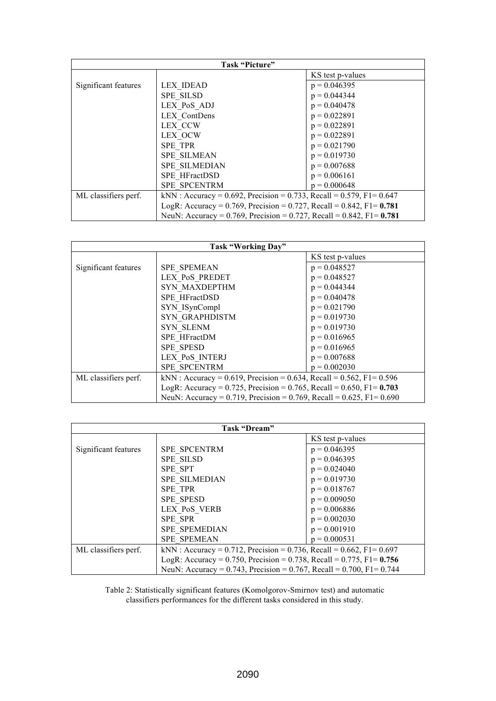| Task "Picture"       |                                                                                      |                  |
|----------------------|--------------------------------------------------------------------------------------|------------------|
|                      |                                                                                      | KS test p-values |
| Significant features | <b>LEX IDEAD</b>                                                                     | $p = 0.046395$   |
|                      | <b>SPE SILSD</b>                                                                     | $p = 0.044344$   |
|                      | LEX PoS ADJ                                                                          | $p = 0.040478$   |
|                      | LEX ContDens                                                                         | $p = 0.022891$   |
|                      | LEX CCW                                                                              | $p = 0.022891$   |
|                      | LEX OCW                                                                              | $p = 0.022891$   |
|                      | <b>SPE TPR</b>                                                                       | $p = 0.021790$   |
|                      | <b>SPE SILMEAN</b>                                                                   | $p = 0.019730$   |
|                      | <b>SPE SILMEDIAN</b>                                                                 | $p = 0.007688$   |
|                      | SPE HFractDSD                                                                        | $p = 0.006161$   |
|                      | <b>SPE SPCENTRM</b>                                                                  | $p = 0.000648$   |
| ML classifiers perf. | kNN: Accuracy = 0.692, Precision = 0.733, Recall = 0.579, F1= 0.647                  |                  |
|                      | LogR: Accuracy = $0.769$ , Precision = $0.727$ , Recall = $0.842$ , F1= <b>0.781</b> |                  |
|                      | NeuN: Accuracy = $0.769$ , Precision = 0.727, Recall = 0.842, F1= 0.781              |                  |

| Task "Working Day"   |                                                                        |                  |
|----------------------|------------------------------------------------------------------------|------------------|
|                      |                                                                        | KS test p-values |
| Significant features | SPE SPEMEAN                                                            | $p = 0.048527$   |
|                      | <b>LEX PoS PREDET</b>                                                  | $p = 0.048527$   |
|                      | <b>SYN MAXDEPTHM</b>                                                   | $p = 0.044344$   |
|                      | SPE HFractDSD                                                          | $p = 0.040478$   |
|                      | SYN ISynCompl                                                          | $p = 0.021790$   |
|                      | <b>SYN GRAPHDISTM</b>                                                  | $p = 0.019730$   |
|                      | <b>SYN SLENM</b>                                                       | $p = 0.019730$   |
|                      | SPE HFractDM                                                           | $p = 0.016965$   |
|                      | <b>SPE SPESD</b>                                                       | $p = 0.016965$   |
|                      | LEX PoS INTERJ                                                         | $p = 0.007688$   |
|                      | <b>SPE SPCENTRM</b>                                                    | $p = 0.002030$   |
| ML classifiers perf. | kNN : Accuracy = 0.619, Precision = 0.634, Recall = 0.562, F1= 0.596   |                  |
|                      | LogR: Accuracy = 0.725, Precision = 0.765, Recall = 0.650, F1= $0.703$ |                  |
|                      | NeuN: Accuracy = 0.719, Precision = 0.769, Recall = 0.625, F1= 0.690   |                  |

| Task "Dream"         |                                                                        |                  |
|----------------------|------------------------------------------------------------------------|------------------|
|                      |                                                                        | KS test p-values |
| Significant features | <b>SPE SPCENTRM</b>                                                    | $p = 0.046395$   |
|                      | <b>SPE SILSD</b>                                                       | $p = 0.046395$   |
|                      | SPE SPT                                                                | $p = 0.024040$   |
|                      | <b>SPE SILMEDIAN</b>                                                   | $p = 0.019730$   |
|                      | SPE TPR                                                                | $p = 0.018767$   |
|                      | SPE SPESD                                                              | $p = 0.009050$   |
|                      | LEX PoS VERB                                                           | $p = 0.006886$   |
|                      | <b>SPE SPR</b>                                                         | $p = 0.002030$   |
|                      | <b>SPE SPEMEDIAN</b>                                                   | $p = 0.001910$   |
|                      | <b>SPE SPEMEAN</b>                                                     | $p = 0.000531$   |
| ML classifiers perf. | kNN: Accuracy = 0.712, Precision = 0.736, Recall = 0.662, F1= 0.697    |                  |
|                      | LogR: Accuracy = 0.750, Precision = 0.738, Recall = 0.775, F1= $0.756$ |                  |
|                      | NeuN: Accuracy = 0.743, Precision = 0.767, Recall = 0.700, F1= 0.744   |                  |

Table 2: Statistically significant features (Komolgorov-Smirnov test) and automatic classifiers performances for the different tasks considered in this study.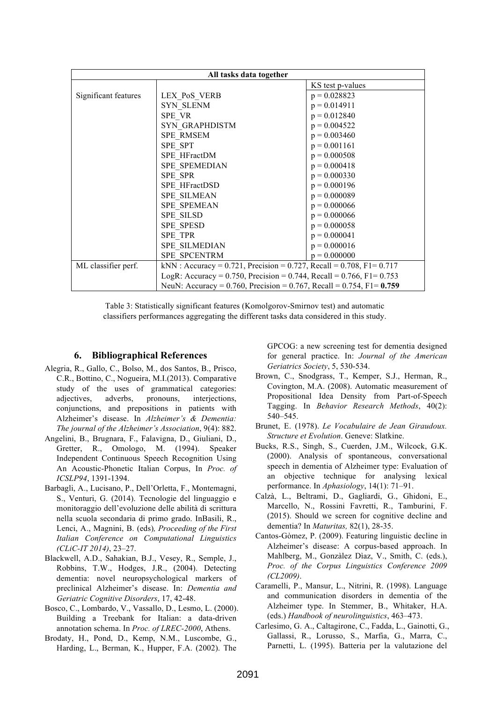| All tasks data together |                                                                                 |                  |
|-------------------------|---------------------------------------------------------------------------------|------------------|
|                         |                                                                                 | KS test p-values |
| Significant features    | LEX PoS VERB                                                                    | $p = 0.028823$   |
|                         | <b>SYN_SLENM</b>                                                                | $p = 0.014911$   |
|                         | SPE VR                                                                          | $p = 0.012840$   |
|                         | SYN GRAPHDISTM                                                                  | $p = 0.004522$   |
|                         | SPE RMSEM                                                                       | $p = 0.003460$   |
|                         | SPE SPT                                                                         | $p = 0.001161$   |
|                         | SPE HFractDM                                                                    | $p = 0.000508$   |
|                         | SPE SPEMEDIAN                                                                   | $p = 0.000418$   |
|                         | <b>SPE SPR</b>                                                                  | $p = 0.000330$   |
|                         | SPE HFractDSD                                                                   | $p = 0.000196$   |
|                         | <b>SPE SILMEAN</b>                                                              | $p = 0.000089$   |
|                         | <b>SPE SPEMEAN</b>                                                              | $p = 0.000066$   |
|                         | <b>SPE SILSD</b>                                                                | $p = 0.000066$   |
|                         | <b>SPE SPESD</b>                                                                | $p = 0.000058$   |
|                         | SPE TPR                                                                         | $p = 0.000041$   |
|                         | SPE SILMEDIAN                                                                   | $p = 0.000016$   |
|                         | <b>SPE SPCENTRM</b>                                                             | $p = 0.000000$   |
| ML classifier perf.     | kNN: Accuracy = 0.721, Precision = 0.727, Recall = 0.708, F1= 0.717             |                  |
|                         | LogR: Accuracy = $0.750$ , Precision = $0.744$ , Recall = $0.766$ , F1= $0.753$ |                  |
|                         | NeuN: Accuracy = $0.760$ , Precision = $0.767$ , Recall = $0.754$ , F1= 0.759   |                  |

Table 3: Statistically significant features (Komolgorov-Smirnov test) and automatic classifiers performances aggregating the different tasks data considered in this study.

#### **6. Bibliographical References**

- Alegria, R., Gallo, C., Bolso, M., dos Santos, B., Prisco, C.R., Bottino, C., Nogueira, M.I.(2013). Comparative study of the uses of grammatical categories: adjectives, adverbs, pronouns, interjections, conjunctions, and prepositions in patients with Alzheimer's disease. In *Alzheimer's & Dementia: The journal of the Alzheimer's Association*, 9(4): 882.
- Angelini, B., Brugnara, F., Falavigna, D., Giuliani, D., Gretter, R., Omologo, M. (1994). Speaker Independent Continuous Speech Recognition Using An Acoustic-Phonetic Italian Corpus, In *Proc. of ICSLP94*, 1391-1394.
- Barbagli, A., Lucisano, P., Dell'Orletta, F., Montemagni, S., Venturi, G. (2014). Tecnologie del linguaggio e monitoraggio dell'evoluzione delle abilità di scrittura nella scuola secondaria di primo grado. InBasili, R., Lenci, A., Magnini, B. (eds)*, Proceeding of the First Italian Conference on Computational Linguistics (CLiC-IT 2014)*, 23–27.
- Blackwell, A.D., Sahakian, B.J., Vesey, R., Semple, J., Robbins, T.W., Hodges, J.R., (2004). Detecting dementia: novel neuropsychological markers of preclinical Alzheimer's disease. In: *Dementia and Geriatric Cognitive Disorders*, 17, 42-48.
- Bosco, C., Lombardo, V., Vassallo, D., Lesmo, L. (2000). Building a Treebank for Italian: a data-driven annotation schema. In *Proc. of LREC-2000*, Athens.
- Brodaty, H., Pond, D., Kemp, N.M., Luscombe, G., Harding, L., Berman, K., Hupper, F.A. (2002). The

GPCOG: a new screening test for dementia designed for general practice. In: *Journal of the American Geriatrics Society*, 5, 530-534.

- Brown, C., Snodgrass, T., Kemper, S.J., Herman, R., Covington, M.A. (2008). Automatic measurement of Propositional Idea Density from Part-of-Speech Tagging. In *Behavior Research Methods*, 40(2): 540–545.
- Brunet, E. (1978). *Le Vocabulaire de Jean Giraudoux. Structure et Evolution*. Geneve: Slatkine.
- Bucks, R.S., Singh, S., Cuerden, J.M., Wilcock, G.K. (2000). Analysis of spontaneous, conversational speech in dementia of Alzheimer type: Evaluation of an objective technique for analysing lexical performance. In *Aphasiology*, 14(1): 71–91.
- Calzà, L., Beltrami, D., Gagliardi, G., Ghidoni, E., Marcello, N., Rossini Favretti, R., Tamburini, F. (2015). Should we screen for cognitive decline and dementia? In *Maturitas,* 82(1), 28-35.
- Cantos-Gòmez, P. (2009). Featuring linguistic decline in Alzheimer's disease: A corpus-based approach. In Mahlberg, M., Gonzàlez Dìaz, V., Smith, C. (eds.), *Proc. of the Corpus Linguistics Conference 2009 (CL2009)*.
- Caramelli, P., Mansur, L., Nitrini, R. (1998). Language and communication disorders in dementia of the Alzheimer type. In Stemmer, B., Whitaker, H.A. (eds.) *Handbook of neurolinguistics*, 463–473.
- Carlesimo, G. A., Caltagirone, C., Fadda, L., Gainotti, G., Gallassi, R., Lorusso, S., Marfia, G., Marra, C., Parnetti, L. (1995). Batteria per la valutazione del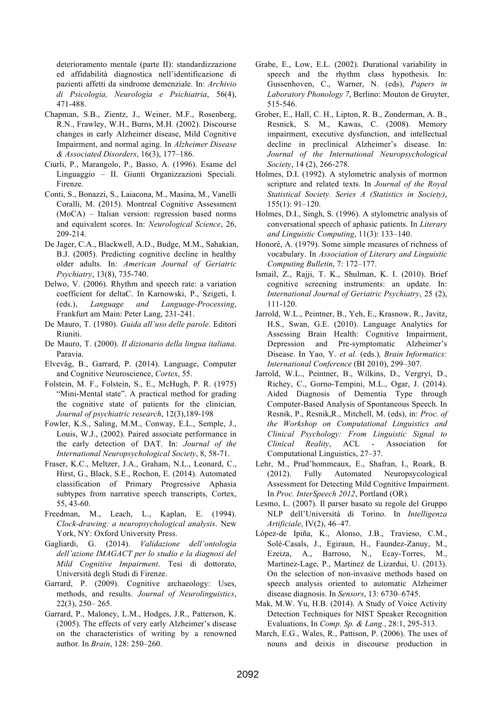deterioramento mentale (parte II): standardizzazione ed affidabilità diagnostica nell'identificazione di pazienti affetti da sindrome demenziale. In: *Archivio di Psicologia, Neurologia e Psichiatria*, 56(4), 471-488.

- Chapman, S.B., Zientz, J., Weiner, M.F., Rosenberg, R.N., Frawley, W.H., Burns, M.H. (2002). Discourse changes in early Alzheimer disease, Mild Cognitive Impairment, and normal aging. In *Alzheimer Disease & Associated Disorders*, 16(3), 177–186.
- Ciurli, P., Marangolo, P., Basso, A. (1996). Esame del Linguaggio – II. Giunti Organizzazioni Speciali. Firenze.
- Conti, S., Bonazzi, S., Laiacona, M., Masina, M., Vanelli Coralli, M. (2015). Montreal Cognitive Assessment (MoCA) – Italian version: regression based norms and equivalent scores. In: *Neurological Science*, 26, 209-214.
- De Jager, C.A., Blackwell, A.D., Budge, M.M., Sahakian, B.J. (2005). Predicting cognitive decline in healthy older adults. In: *American Journal of Geriatric Psychiatry*, 13(8), 735-740.
- Delwo, V. (2006). Rhythm and speech rate: a variation coefficient for deltaC. In Karnowski, P., Szigeti, I. (eds.), *Language and Language-Processing*, Frankfurt am Main: Peter Lang, 231-241.
- De Mauro, T. (1980). *Guida all'uso delle parole*. Editori Riuniti.
- De Mauro, T. (2000). *Il dizionario della lingua italiana*. Paravia.
- Elvevåg, B., Garrard, P. (2014). Language, Computer and Cognitive Neuroscience, *Cortex*, 55.
- Folstein, M. F., Folstein, S., E., McHugh, P. R. (1975) "Mini-Mental state". A practical method for grading the cognitive state of patients for the clinician*, Journal of psychiatric research*, 12(3),189-198
- Fowler, K.S., Saling, M.M., Conway, E.L., Semple, J., Louis, W.J., (2002). Paired associate performance in the early detection of DAT. In: *Journal of the International Neuropsychological Society*, 8, 58-71.
- Fraser, K.C., Meltzer, J.A., Graham, N.L., Leonard, C., Hirst, G., Black, S.E., Rochon, E. (2014). Automated classification of Primary Progressive Aphasia subtypes from narrative speech transcripts, Cortex, 55, 43-60.
- Freedman, M., Leach, L., Kaplan, E. (1994). *Clock-drawing: a neuropsychological analysis*. New York, NY: Oxford University Press.
- Gagliardi, G. (2014). *Validazione dell'ontologia dell'azione IMAGACT per lo studio e la diagnosi del Mild Cognitive Impairment*. Tesi di dottorato, Università degli Studi di Firenze.
- Garrard, P. (2009). Cognitive archaeology: Uses, methods, and results. *Journal of Neurolinguistics*, 22(3), 250– 265.
- Garrard, P., Maloney, L.M., Hodges, J.R., Patterson, K. (2005). The effects of very early Alzheimer's disease on the characteristics of writing by a renowned author. In *Brain*, 128: 250–260.
- Grabe, E., Low, E.L. (2002). Durational variability in speech and the rhythm class hypothesis. In: Gussenhoven, C., Warner, N. (eds), *Papers in Laboratory Phonology 7*, Berlino: Mouton de Gruyter, 515-546.
- Grober, E., Hall, C. H., Lipton, R. B., Zonderman, A. B., Resnick, S. M., Kawas, C. (2008). Memory impairment, executive dysfunction, and intellectual decline in preclinical Alzheimer's disease. In: *Journal of the International Neuropsychological Society*, 14 (2), 266-278.
- Holmes, D.I. (1992). A stylometric analysis of mormon scripture and related texts*.* In *Journal of the Royal Statistical Society. Series A (Statistics in Society)*, 155(1): 91–120.
- Holmes, D.I., Singh, S. (1996). A stylometric analysis of conversational speech of aphasic patients. In *Literary and Linguistic Computing*, 11(3): 133–140.
- Honoré, A. (1979). Some simple measures of richness of vocabulary. In *Association of Literary and Linguistic Computing Bulletin*, 7: 172–177.
- Ismail, Z., Rajji, T. K., Shulman, K. I. (2010). Brief cognitive screening instruments: an update. In: *International Journal of Geriatric Psychiatry*, 25 (2), 111-120.
- Jarrold, W.L., Peintner, B., Yeh, E., Krasnow, R., Javitz, H.S., Swan, G.E. (2010). Language Analytics for Assessing Brain Health: Cognitive Impairment, Depression and Pre-symptomatic Alzheimer's Disease. In Yao, Y. *et al.* (eds.)*, Brain Informatics: International Conference* (BI 2010), 299–307.
- Jarrold, W.L., Peintner, B., Wilkins, D., Vergryi, D., Richey, C., Gorno-Tempini, M.L., Ogar, J. (2014). Aided Diagnosis of Dementia Type through Computer-Based Analysis of Spontaneous Speech. In Resnik, P., Resnik,R., Mitchell, M. (eds), in: *Proc. of the Workshop on Computational Linguistics and Clinical Psychology: From Linguistic Signal to Clinical Reality*, ACL - Association for Computational Linguistics, 27–37.
- Lehr, M., Prud'hommeaux, E., Shafran, I., Roark, B. (2012). Fully Automated Neuropsycological Assessment for Detecting Mild Cognitive Impairment. In *Proc. InterSpeech 2012*, Portland (OR).
- Lesmo, L. (2007). Il parser basato su regole del Gruppo NLP dell'Università di Torino. In *Intelligenza Artificiale*, IV(2), 46–47.
- López-de Ipiña, K., Alonso, J.B., Travieso, C.M., Solé-Casals, J., Egiraun, H., Faundez-Zanuy, M., Ezeiza, A., Barroso, N., Ecay-Torres, M., Martinez-Lage, P., Martinez de Lizardui, U. (2013). On the selection of non-invasive methods based on speech analysis oriented to automatic Alzheimer disease diagnosis. In *Sensors*, 13: 6730–6745.
- Mak, M.W. Yu, H.B. (2014). A Study of Voice Activity Detection Techniques for NIST Speaker Recognition Evaluations, In *Comp. Sp. & Lang.*, 28:1, 295-313.
- March, E.G., Wales, R., Pattison, P. (2006). The uses of nouns and deixis in discourse production in